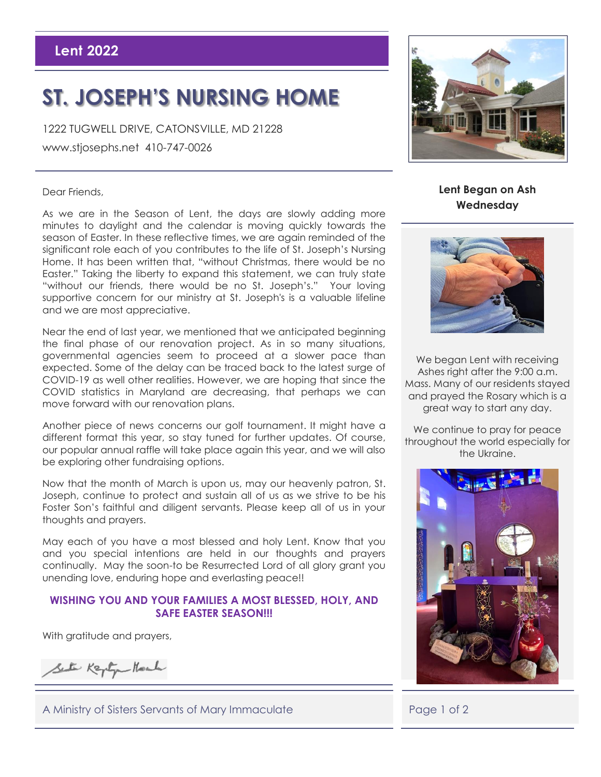# **ST. JOSEPH'S NURSING HOME**

1222 TUGWELL DRIVE, CATONSVILLE, MD 21228 [www.stjosephs.net](http://www.stjosephs.net/) 410-747-0026

## Dear Friends

As we are in the Season of Lent, the days are slowly adding more minutes to daylight and the calendar is moving quickly towards the season of Easter. In these reflective times, we are again reminded of the significant role each of you contributes to the life of St. Joseph's Nursing Home. It has been written that, "without Christmas, there would be no Easter." Taking the liberty to expand this statement, we can truly state "without our friends, there would be no St. Joseph's." Your loving supportive concern for our ministry at St. Joseph's is a valuable lifeline and we are most appreciative.

Near the end of last year, we mentioned that we anticipated beginning the final phase of our renovation project. As in so many situations, governmental agencies seem to proceed at a slower pace than expected. Some of the delay can be traced back to the latest surge of COVID-19 as well other realities. However, we are hoping that since the COVID statistics in Maryland are decreasing, that perhaps we can move forward with our renovation plans.

Another piece of news concerns our golf tournament. It might have a different format this year, so stay tuned for further updates. Of course, our popular annual raffle will take place again this year, and we will also be exploring other fundraising options.

Now that the month of March is upon us, may our heavenly patron, St. Joseph, continue to protect and sustain all of us as we strive to be his Foster Son's faithful and diligent servants. Please keep all of us in your thoughts and prayers.

May each of you have a most blessed and holy Lent. Know that you and you special intentions are held in our thoughts and prayers continually. May the soon-to be Resurrected Lord of all glory grant you unending love, enduring hope and everlasting peace!!

## **WISHING YOU AND YOUR FAMILIES A MOST BLESSED, HOLY, AND SAFE EASTER SEASON!!!**

With gratitude and prayers,

Sete Kepty Hack





**Lent Began on Ash Wednesday**



We began Lent with receiving Ashes right after the 9:00 a.m. Mass. Many of our residents stayed and prayed the Rosary which is a great way to start any day.

We continue to pray for peace throughout the world especially for the Ukraine.